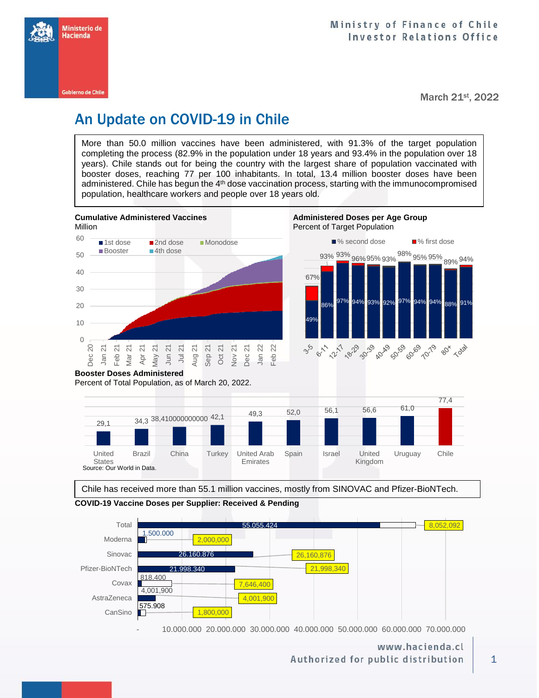

March 21st, 2022

# An Update on COVID-19 in Chile

More than 50.0 million vaccines have been administered, with 91.3% of the target population completing the process (82.9% in the population under 18 years and 93.4% in the population over 18 years). Chile stands out for being the country with the largest share of population vaccinated with booster doses, reaching 77 per 100 inhabitants. In total, 13.4 million booster doses have been administered. Chile has begun the 4<sup>th</sup> dose vaccination process, starting with the immunocompromised population, healthcare workers and people over 18 years old.



Chile has received more than 55.1 million vaccines, mostly from SINOVAC and Pfizer-BioNTech.





- 10.000.000 20.000.000 30.000.000 40.000.000 50.000.000 60.000.000 70.000.000

## www.hacienda.cl Authorized for public distribution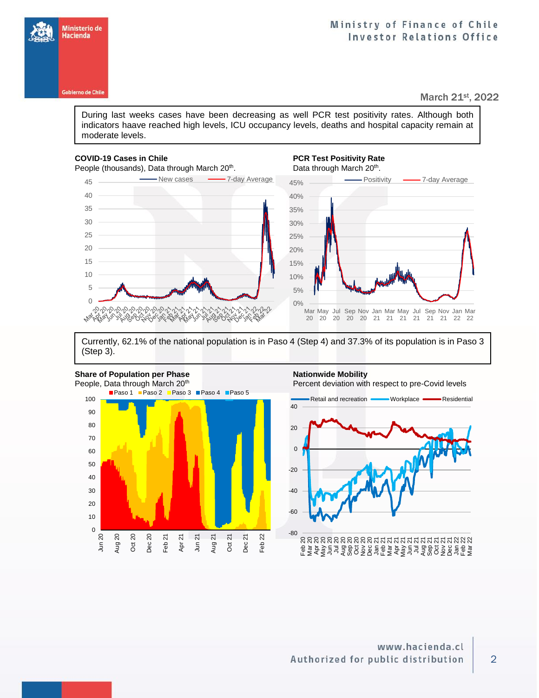

Ministerio de Hacienda

### March 21st, 2022

During last weeks cases have been decreasing as well PCR test positivity rates. Although both indicators haave reached high levels, ICU occupancy levels, deaths and hospital capacity remain at moderate levels.

## **COVID-19 Cases in Chile PCR Test Positivity Rate**

People (thousands), Data through March 20<sup>th</sup>.

## . Data through March 20<sup>th</sup>.



Currently, 62.1% of the national population is in Paso 4 (Step 4) and 37.3% of its population is in Paso 3 (Step 3).